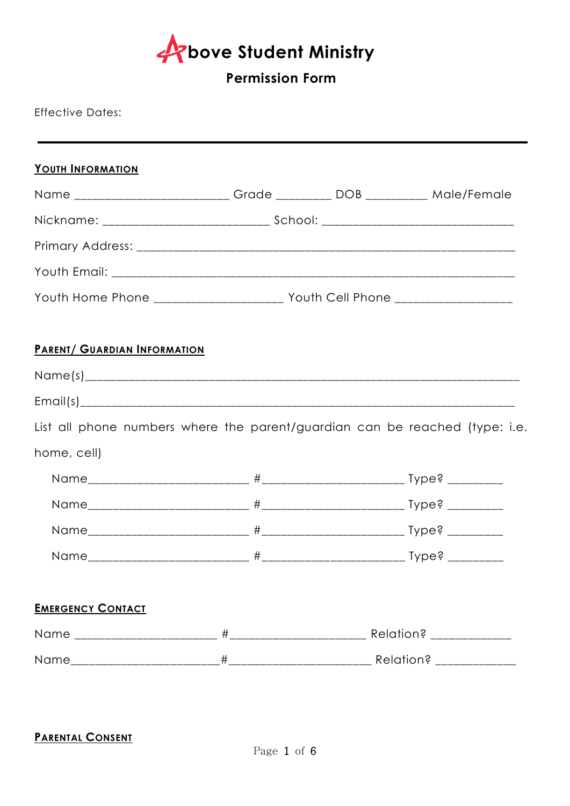**bove Student Ministry** 

# **Permission Form**

## Effective Dates:

| YOUTH INFORMATION                                                               |  |  |
|---------------------------------------------------------------------------------|--|--|
| Name __________________________ Grade _________ DOB __________ Male/Female      |  |  |
|                                                                                 |  |  |
|                                                                                 |  |  |
|                                                                                 |  |  |
| Youth Home Phone ______________________ Youth Cell Phone ______________________ |  |  |
| <b>PARENT/ GUARDIAN INFORMATION</b>                                             |  |  |
|                                                                                 |  |  |
|                                                                                 |  |  |
| List all phone numbers where the parent/guardian can be reached (type: i.e.     |  |  |
| home, cell)                                                                     |  |  |
|                                                                                 |  |  |
|                                                                                 |  |  |
|                                                                                 |  |  |
|                                                                                 |  |  |
| <b>EMERGENCY CONTACT</b>                                                        |  |  |
|                                                                                 |  |  |
|                                                                                 |  |  |

## **PARENTAL CONSENT**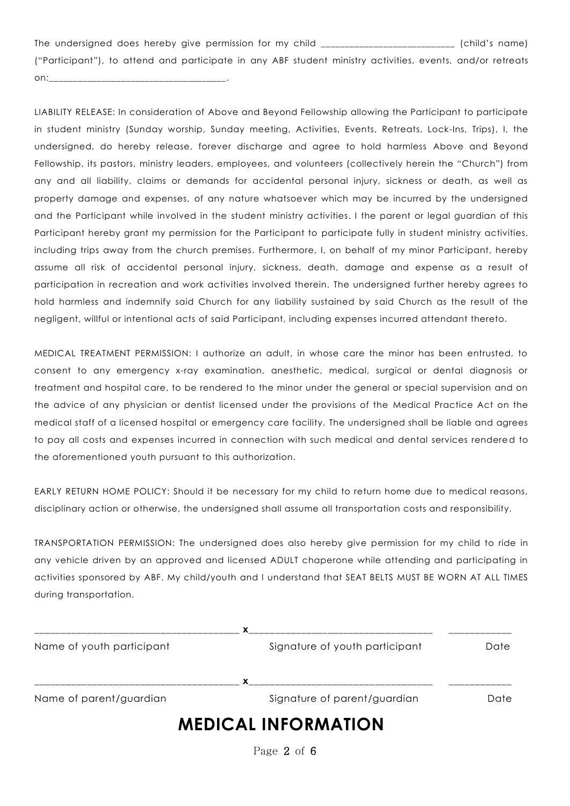The undersigned does hereby give permission for my child \_\_\_\_\_\_\_\_\_\_\_\_\_\_\_\_\_\_\_\_\_\_\_\_\_\_\_\_ (child's name) ("Participant"), to attend and participate in any ABF student ministry activities, events, and/or retreats on:\_\_\_\_\_\_\_\_\_\_\_\_\_\_\_\_\_\_\_\_\_\_\_\_\_\_\_\_\_\_\_\_\_\_\_\_\_.

LIABILITY RELEASE: In consideration of Above and Beyond Fellowship allowing the Participant to participate in student ministry (Sunday worship, Sunday meeting, Activities, Events, Retreats, Lock-Ins, Trips), I, the undersigned, do hereby release, forever discharge and agree to hold harmless Above and Beyond Fellowship, its pastors, ministry leaders, employees, and volunteers (collectively herein the "Church") from any and all liability, claims or demands for accidental personal injury, sickness or death, as well as property damage and expenses, of any nature whatsoever which may be incurred by the undersigned and the Participant while involved in the student ministry activities. I the parent or legal guardian of this Participant hereby grant my permission for the Participant to participate fully in student ministry activities, including trips away from the church premises. Furthermore, I, on behalf of my minor Participant, hereby assume all risk of accidental personal injury, sickness, death, damage and expense as a result of participation in recreation and work activities involved therein. The undersigned further hereby agrees to hold harmless and indemnify said Church for any liability sustained by said Church as the result of the negligent, willful or intentional acts of said Participant, including expenses incurred attendant thereto.

MEDICAL TREATMENT PERMISSION: I authorize an adult, in whose care the minor has been entrusted, to consent to any emergency x-ray examination, anesthetic, medical, surgical or dental diagnosis or treatment and hospital care, to be rendered to the minor under the general or special supervision and on the advice of any physician or dentist licensed under the provisions of the Medical Practice Act on the medical staff of a licensed hospital or emergency care facility. The undersigned shall be liable and agrees to pay all costs and expenses incurred in connection with such medical and dental services rendered to the aforementioned youth pursuant to this authorization.

EARLY RETURN HOME POLICY: Should it be necessary for my child to return home due to medical reasons, disciplinary action or otherwise, the undersigned shall assume all transportation costs and responsibility.

TRANSPORTATION PERMISSION: The undersigned does also hereby give permission for my child to ride in any vehicle driven by an approved and licensed ADULT chaperone while attending and participating in activities sponsored by ABF. My child/youth and I understand that SEAT BELTS MUST BE WORN AT ALL TIMES during transportation.

| Name of youth participant | Signature of youth participant | Date |
|---------------------------|--------------------------------|------|
|                           |                                |      |
| Name of parent/guardian   | Signature of parent/guardian   | Date |
|                           | <b>MEDICAL INFORMATION</b>     |      |

Page 2 of 6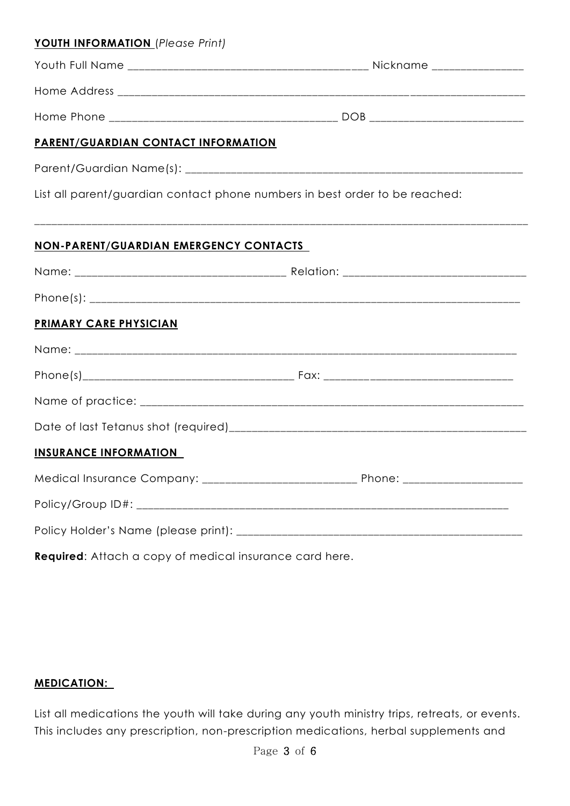| <b>YOUTH INFORMATION</b> (Please Print)                                     |  |
|-----------------------------------------------------------------------------|--|
|                                                                             |  |
|                                                                             |  |
|                                                                             |  |
| <b>PARENT/GUARDIAN CONTACT INFORMATION</b>                                  |  |
|                                                                             |  |
| List all parent/guardian contact phone numbers in best order to be reached: |  |
| <b>NON-PARENT/GUARDIAN EMERGENCY CONTACTS</b>                               |  |
|                                                                             |  |
|                                                                             |  |
| PRIMARY CARE PHYSICIAN                                                      |  |
|                                                                             |  |
|                                                                             |  |
|                                                                             |  |
|                                                                             |  |
| <b>INSURANCE INFORMATION</b>                                                |  |
|                                                                             |  |
|                                                                             |  |
|                                                                             |  |

**Required**: Attach a copy of medical insurance card here.

#### **MEDICATION:**

List all medications the youth will take during any youth ministry trips, retreats, or events. This includes any prescription, non-prescription medications, herbal supplements and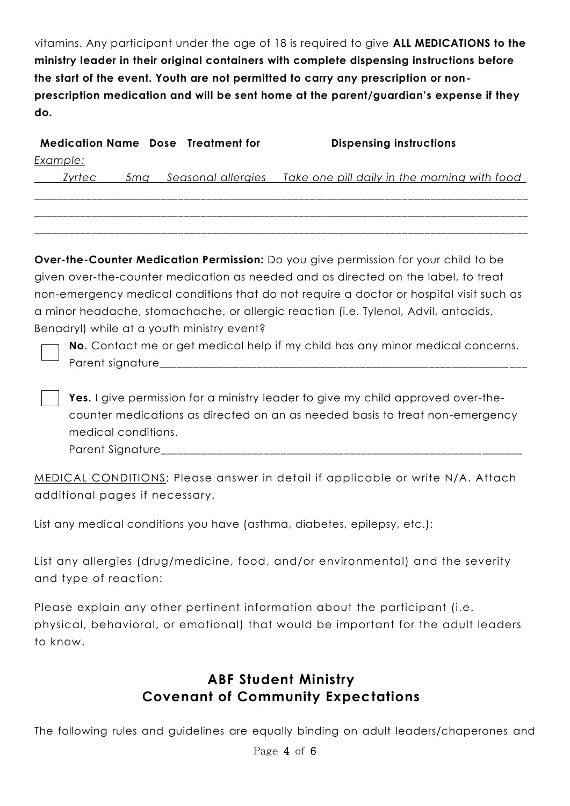vitamins. Any participant under the age of 18 is required to give **ALL MEDICATIONS to the ministry leader in their original containers with complete dispensing instructions before the start of the event. Youth are not permitted to carry any prescription or nonprescription medication and will be sent home at the parent/guardian's expense if they do.** 

|          | <b>Medication Name Dose Treatment for</b> | <b>Dispensing instructions</b>                                      |
|----------|-------------------------------------------|---------------------------------------------------------------------|
| Example: |                                           |                                                                     |
| Zyrtec   |                                           | 5mg Seasonal allergies Take one pill daily in the morning with food |
|          |                                           |                                                                     |

\_\_\_\_\_\_\_\_\_\_\_\_\_\_\_\_\_\_\_\_\_\_\_\_\_\_\_\_\_\_\_\_\_\_\_\_\_\_\_\_\_\_\_\_\_\_\_\_\_\_\_\_\_\_\_\_\_\_\_\_\_\_\_\_\_\_\_\_\_\_\_\_\_\_\_\_\_\_\_\_\_\_\_\_\_\_ \_\_\_\_\_\_\_\_\_\_\_\_\_\_\_\_\_\_\_\_\_\_\_\_\_\_\_\_\_\_\_\_\_\_\_\_\_\_\_\_\_\_\_\_\_\_\_\_\_\_\_\_\_\_\_\_\_\_\_\_\_\_\_\_\_\_\_\_\_\_\_\_\_\_\_\_\_\_\_\_\_\_\_\_\_\_

**Over-the-Counter Medication Permission:** Do you give permission for your child to be given over-the-counter medication as needed and as directed on the label, to treat non-emergency medical conditions that do not require a doctor or hospital visit such as a minor headache, stomachache, or allergic reaction (i.e. Tylenol, Advil, antacids, Benadryl) while at a youth ministry event?

**No**. Contact me or get medical help if my child has any minor medical concerns. Parent signature

**Yes.** I give permission for a ministry leader to give my child approved over-thecounter medications as directed on an as needed basis to treat non-emergency medical conditions.

Parent Signature

MEDICAL CONDITIONS: Please answer in detail if applicable or write N/A. Attach additional pages if necessary.

List any medical conditions you have (asthma, diabetes, epilepsy, etc.):

List any allergies (drug/medicine, food, and/or environmental) and the severity and type of reaction:

Please explain any other pertinent information about the participant (i.e. physical, behavioral, or emotional) that would be important for the adult leaders to know.

# **ABF Student Ministry Covenant of Community Expectations**

The following rules and guidelines are equally binding on adult leaders/chaperones and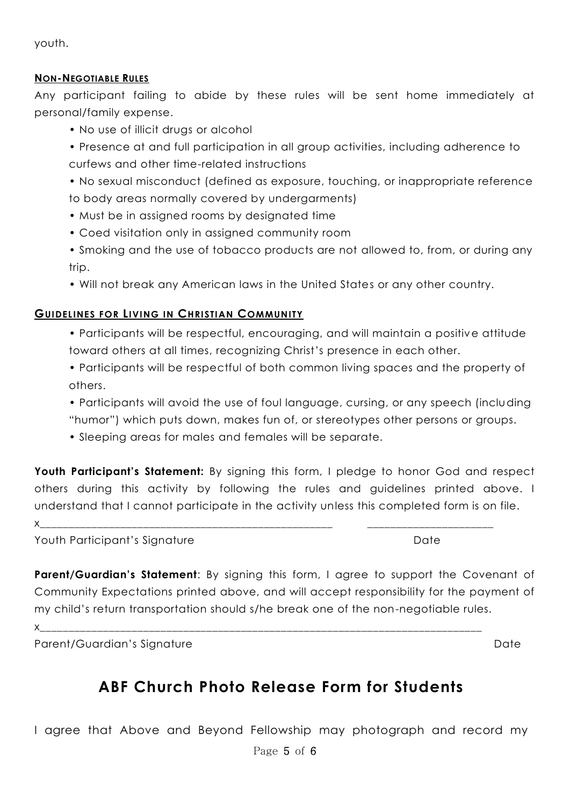youth.

#### **NON-NEGOTIABLE RULES**

Any participant failing to abide by these rules will be sent home immediately at personal/family expense.

- No use of illicit drugs or alcohol
- Presence at and full participation in all group activities, including adherence to curfews and other time-related instructions
- No sexual misconduct (defined as exposure, touching, or inappropriate reference to body areas normally covered by undergarments)
- Must be in assigned rooms by designated time
- Coed visitation only in assigned community room
- Smoking and the use of tobacco products are not allowed to, from, or during any trip.
- Will not break any American laws in the United States or any other country.

### **GUIDELINES FOR LIVING IN CHRISTIAN COMMUNITY**

- Participants will be respectful, encouraging, and will maintain a positive attitude toward others at all times, recognizing Christ's presence in each other.
- Participants will be respectful of both common living spaces and the property of others.
- Participants will avoid the use of foul language, cursing, or any speech (including "humor") which puts down, makes fun of, or stereotypes other persons or groups.
- Sleeping areas for males and females will be separate.

**Youth Participant's Statement:** By signing this form, I pledge to honor God and respect others during this activity by following the rules and guidelines printed above. I understand that I cannot participate in the activity unless this completed form is on file.

x\_\_\_\_\_\_\_\_\_\_\_\_\_\_\_\_\_\_\_\_\_\_\_\_\_\_\_\_\_\_\_\_\_\_\_\_\_\_\_\_\_\_\_\_\_\_\_\_\_\_\_ \_\_\_\_\_\_\_\_\_\_\_\_\_\_\_\_\_\_\_\_\_\_

Youth Participant's Signature **Date** Date Date

**Parent/Guardian's Statement:** By signing this form, I agree to support the Covenant of Community Expectations printed above, and will accept responsibility for the payment of my child's return transportation should s/he break one of the non-negotiable rules.

x\_\_\_\_\_\_\_\_\_\_\_\_\_\_\_\_\_\_\_\_\_\_\_\_\_\_\_\_\_\_\_\_\_\_\_\_\_\_\_\_\_\_\_\_\_\_\_\_\_\_\_\_\_\_\_\_\_\_\_\_\_\_\_\_\_\_\_\_\_\_\_\_\_\_\_\_\_

Parent/Guardian's Signature Date Date Date Date

# **ABF Church Photo Release Form for Students**

I agree that Above and Beyond Fellowship may photograph and record my